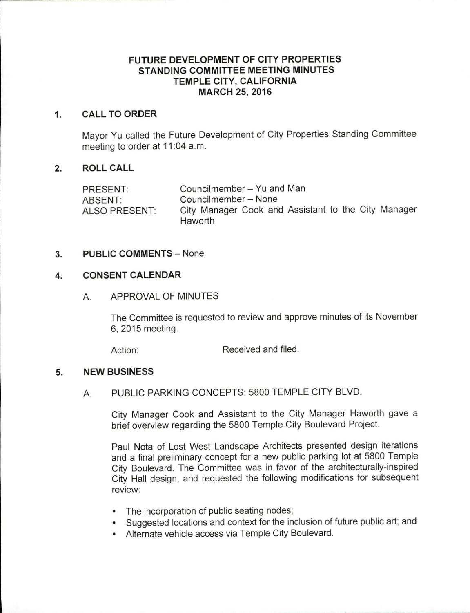# FUTURE DEVELOPMENT OF CITY PROPERTIES STANDING COMMITTEE MEETING MINUTES TEMPLE CITY, CALIFORNIA MARCH 25, 2016

## 1. CALL TO ORDER

Mayor Yu called the Future Development of City Properties Standing Committee meeting to order at 11:04 a.m.

## 2. ROLL CALL

| PRESENT:      | Councilmember - Yu and Man                          |
|---------------|-----------------------------------------------------|
| ABSENT:       | Councilmember - None                                |
| ALSO PRESENT: | City Manager Cook and Assistant to the City Manager |
|               | Haworth                                             |

#### 3. PUBLIC COMMENTS — None

## 4. CONSENT CALENDAR

## A. APPROVAL OF MINUTES

The Committee is requested to review and approve minutes of its November 6, 2015 meeting.

Action: Received and filed.

# 5. NEW BUSINESS

# A. PUBLIC PARKING CONCEPTS: 5800 TEMPLE CITY BLVD.

City Manager Cook and Assistant to the City Manager Haworth gave a brief overview regarding the 5800 Temple City Boulevard Project.

Paul Nota of Lost West Landscape Architects presented design iterations and a final preliminary concept for a new public parking lot at 5800 Temple City Boulevard. The Committee was in favor of the architecturally-inspired City Hall design, and requested the following modifications for subsequent review:

- The incorporation of public seating nodes;
- Suggested locations and context for the inclusion of future public art; and
- Alternate vehicle access via Temple City Boulevard.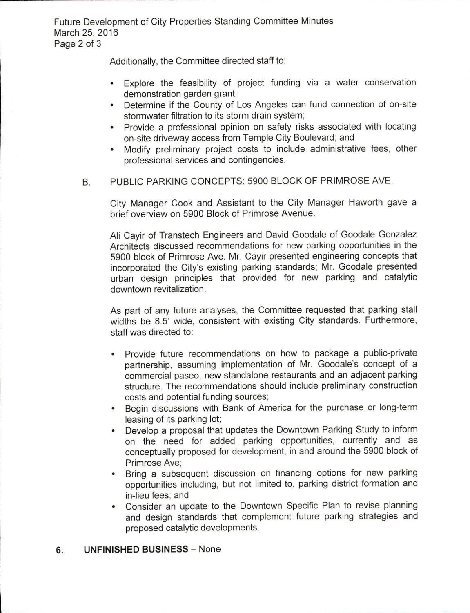Future Development of City Properties Standing Committee Minutes March 25, 2016 Page 2 of 3

Additionally, the Committee directed staff to:

- Explore the feasibility of project funding via a water conservation  $\bullet$ demonstration garden grant,
- Determine if the County of Los Angeles can fund connection of on-site stormwater filtration to its storm drain system,
- Provide a professional opinion on safety risks associated with locating on- site driveway access from Temple City Boulevard; and
- Modify preliminary project costs to include administrative fees, other  $\bullet$ professional services and contingencies.
- B. PUBLIC PARKING CONCEPTS: 5900 BLOCK OF PRIMROSE AVE.

City Manager Cook and Assistant to the City Manager Haworth gave a brief overview on 5900 Block of Primrose Avenue.

Ali Cayir of Transtech Engineers and David Goodale of Goodale Gonzalez Architects discussed recommendations for new parking opportunities in the 5900 block of Primrose Ave. Mr. Cayir presented engineering concepts that incorporated the City's existing parking standards; Mr. Goodale presented urban design principles that provided for new parking and catalytic downtown revitalization.

As part of any future analyses, the Committee requested that parking stall widths be 8.5' wide, consistent with existing City standards. Furthermore, staff was directed to:

- Provide future recommendations on how to package a public-private partnership, assuming implementation of Mr. Goodale's concept of a commercial paseo, new standalone restaurants and an adjacent parking structure. The recommendations should include preliminary construction costs and potential funding sources;
- Begin discussions with Bank of America for the purchase or long-term  $\bullet$ leasing of its parking lot;
- $\bullet$ Develop a proposal that updates the Downtown Parking Study to inform on the need for added parking opportunities, currently and as conceptually proposed for development, in and around the 5900 block of Primrose Ave;
- Bring a subsequent discussion on financing options for new parking opportunities including, but not limited to, parking district formation and in -lieu fees; and
- Consider an update to the Downtown Specific Plan to revise planning and design standards that complement future parking strategies and proposed catalytic developments.

#### 6. UNFINISHED BUSINESS — None